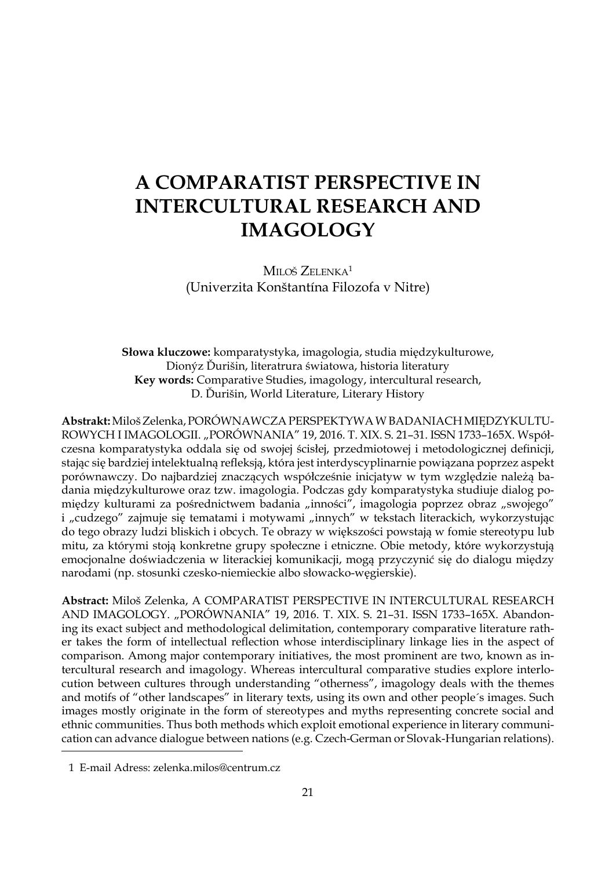# **A COMPARATIST PERSPECTIVE IN INTERCULTURAL RESEARCH AND IMAGOLOGY**

MILOŠ ZELENKA<sup>1</sup> (Univerzita Konštantína Filozofa v Nitre)

**Słowa kluczowe:** komparatystyka, imagologia, studia międzykulturowe, Dionýz Ďurišin, literatrura światowa, historia literatury **Key words:** Comparative Studies, imagology, intercultural research, D. Ďurišin, World Literature, Literary History

**Abstrakt:** Miloš Zelenka, PORÓWNAWCZA PERSPEKTYWA WBADANIACH MIĘDZYKULTU-ROWYCH I IMAGOLOGII. "PORÓWNANIA" 19, 2016. T. XIX. S. 21-31. ISSN 1733-165X. Współczesna komparatystyka oddala się od swojej ścisłej, przedmiotowej i metodologicznej definicji, stając się bardziej intelektualną refleksją, która jest interdyscyplinarnie powiązana poprzez aspekt porównawczy. Do najbardziej znaczących współcześnie inicjatyw w tym względzie należą badania międzykulturowe oraz tzw. imagologia. Podczas gdy komparatystyka studiuje dialog pomiędzy kulturami za pośrednictwem badania "inności", imagologia poprzez obraz "swojego" i "cudzego" zajmuje się tematami i motywami "innych" w tekstach literackich, wykorzystując do tego obrazy ludzi bliskich i obcych. Te obrazy w większości powstają w fomie stereotypu lub mitu, za którymi stoją konkretne grupy społeczne i etniczne. Obie metody, które wykorzystują emocjonalne doświadczenia w literackiej komunikacji, mogą przyczynić się do dialogu między narodami (np. stosunki czesko-niemieckie albo słowacko-węgierskie).

**Abstract:** Miloš Zelenka, A COMPARATIST PERSPECTIVE IN INTERCULTURAL RESEARCH AND IMAGOLOGY. "PORÓWNANIA" 19, 2016. T. XIX. S. 21–31. ISSN 1733–165X. Abandoning its exact subject and methodological delimitation, contemporary comparative literature rather takes the form of intellectual reflection whose interdisciplinary linkage lies in the aspect of comparison. Among major contemporary initiatives, the most prominent are two, known as intercultural research and imagology. Whereas intercultural comparative studies explore interlocution between cultures through understanding "otherness", imagology deals with the themes and motifs of "other landscapes" in literary texts, using its own and other people´s images. Such images mostly originate in the form of stereotypes and myths representing concrete social and ethnic communities. Thus both methods which exploit emotional experience in literary communication can advance dialogue between nations (e.g. Czech-German or Slovak-Hungarian relations).

<sup>1</sup> E-mail Adress: zelenka.milos@centrum.cz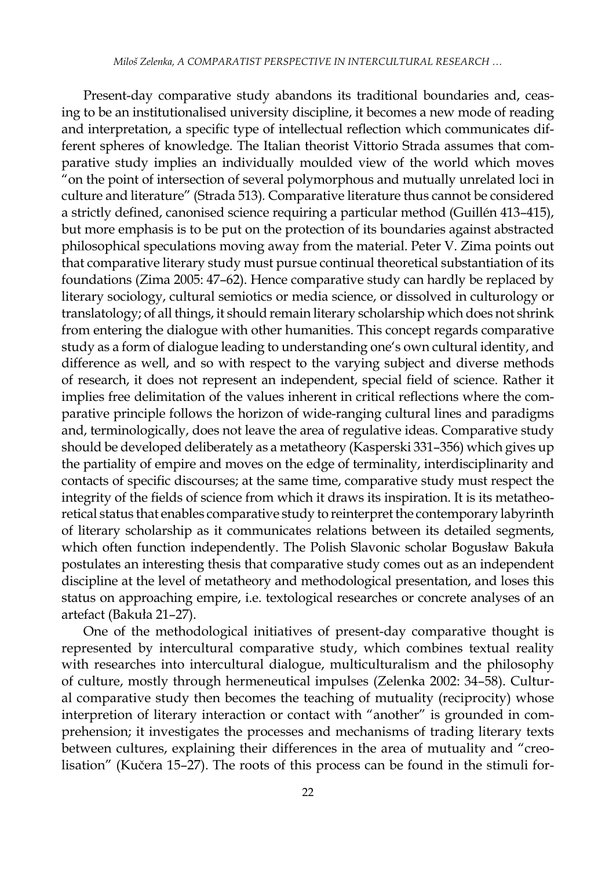Present-day comparative study abandons its traditional boundaries and, ceasing to be an institutionalised university discipline, it becomes a new mode of reading and interpretation, a specific type of intellectual reflection which communicates different spheres of knowledge. The Italian theorist Vittorio Strada assumes that comparative study implies an individually moulded view of the world which moves "on the point of intersection of several polymorphous and mutually unrelated loci in culture and literature" (Strada 513)*.* Comparative literature thus cannot be considered a strictly defined, canonised science requiring a particular method (Guillén 413–415), but more emphasis is to be put on the protection of its boundaries against abstracted philosophical speculations moving away from the material. Peter V. Zima points out that comparative literary study must pursue continual theoretical substantiation of its foundations (Zima 2005: 47–62). Hence comparative study can hardly be replaced by literary sociology, cultural semiotics or media science, or dissolved in culturology or translatology; of all things, it should remain literary scholarship which does not shrink from entering the dialogue with other humanities. This concept regards comparative study as a form of dialogue leading to understanding one's own cultural identity, and difference as well, and so with respect to the varying subject and diverse methods of research, it does not represent an independent, special field of science. Rather it implies free delimitation of the values inherent in critical reflections where the comparative principle follows the horizon of wide-ranging cultural lines and paradigms and, terminologically, does not leave the area of regulative ideas. Comparative study should be developed deliberately as a metatheory (Kasperski 331–356) which gives up the partiality of empire and moves on the edge of terminality, interdisciplinarity and contacts of specific discourses; at the same time, comparative study must respect the integrity of the fields of science from which it draws its inspiration. It is its metatheoretical status that enables comparative study to reinterpret the contemporary labyrinth of literary scholarship as it communicates relations between its detailed segments, which often function independently. The Polish Slavonic scholar Bogusław Bakuła postulates an interesting thesis that comparative study comes out as an independent discipline at the level of metatheory and methodological presentation, and loses this status on approaching empire, i.e. textological researches or concrete analyses of an artefact (Bakuła 21–27).

One of the methodological initiatives of present-day comparative thought is represented by intercultural comparative study, which combines textual reality with researches into intercultural dialogue, multiculturalism and the philosophy of culture, mostly through hermeneutical impulses (Zelenka 2002: 34–58). Cultural comparative study then becomes the teaching of mutuality (reciprocity) whose interpretion of literary interaction or contact with "another" is grounded in comprehension; it investigates the processes and mechanisms of trading literary texts between cultures, explaining their differences in the area of mutuality and "creolisation" (Kučera 15–27). The roots of this process can be found in the stimuli for-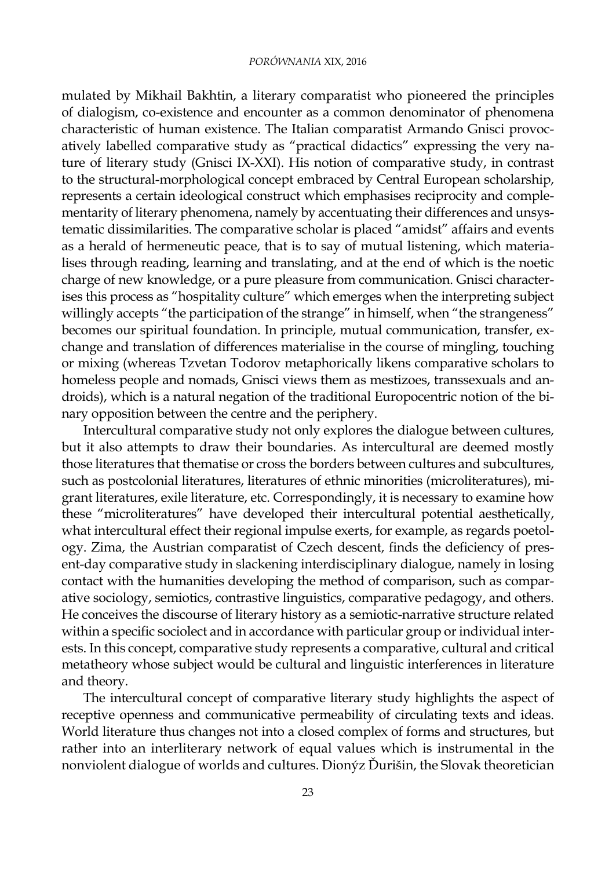### *PORÓWNANIA* XIX, 2016

mulated by Mikhail Bakhtin, a literary comparatist who pioneered the principles of dialogism, co-existence and encounter as a common denominator of phenomena characteristic of human existence. The Italian comparatist Armando Gnisci provocatively labelled comparative study as "practical didactics" expressing the very nature of literary study (Gnisci IX-XXI). His notion of comparative study, in contrast to the structural-morphological concept embraced by Central European scholarship, represents a certain ideological construct which emphasises reciprocity and complementarity of literary phenomena, namely by accentuating their differences and unsystematic dissimilarities. The comparative scholar is placed "amidst" affairs and events as a herald of hermeneutic peace, that is to say of mutual listening, which materialises through reading, learning and translating, and at the end of which is the noetic charge of new knowledge, or a pure pleasure from communication. Gnisci characterises this process as "hospitality culture" which emerges when the interpreting subject willingly accepts "the participation of the strange" in himself, when "the strangeness" becomes our spiritual foundation. In principle, mutual communication, transfer, exchange and translation of differences materialise in the course of mingling, touching or mixing (whereas Tzvetan Todorov metaphorically likens comparative scholars to homeless people and nomads, Gnisci views them as mestizoes, transsexuals and androids), which is a natural negation of the traditional Europocentric notion of the binary opposition between the centre and the periphery.

Intercultural comparative study not only explores the dialogue between cultures, but it also attempts to draw their boundaries. As intercultural are deemed mostly those literatures that thematise or cross the borders between cultures and subcultures, such as postcolonial literatures, literatures of ethnic minorities (microliteratures), migrant literatures, exile literature, etc. Correspondingly, it is necessary to examine how these "microliteratures" have developed their intercultural potential aesthetically, what intercultural effect their regional impulse exerts, for example, as regards poetology. Zima, the Austrian comparatist of Czech descent, finds the deficiency of present-day comparative study in slackening interdisciplinary dialogue, namely in losing contact with the humanities developing the method of comparison, such as comparative sociology, semiotics, contrastive linguistics, comparative pedagogy, and others. He conceives the discourse of literary history as a semiotic-narrative structure related within a specific sociolect and in accordance with particular group or individual interests. In this concept, comparative study represents a comparative, cultural and critical metatheory whose subject would be cultural and linguistic interferences in literature and theory.

The intercultural concept of comparative literary study highlights the aspect of receptive openness and communicative permeability of circulating texts and ideas. World literature thus changes not into a closed complex of forms and structures, but rather into an interliterary network of equal values which is instrumental in the nonviolent dialogue of worlds and cultures. Dionýz Ďurišin, the Slovak theoretician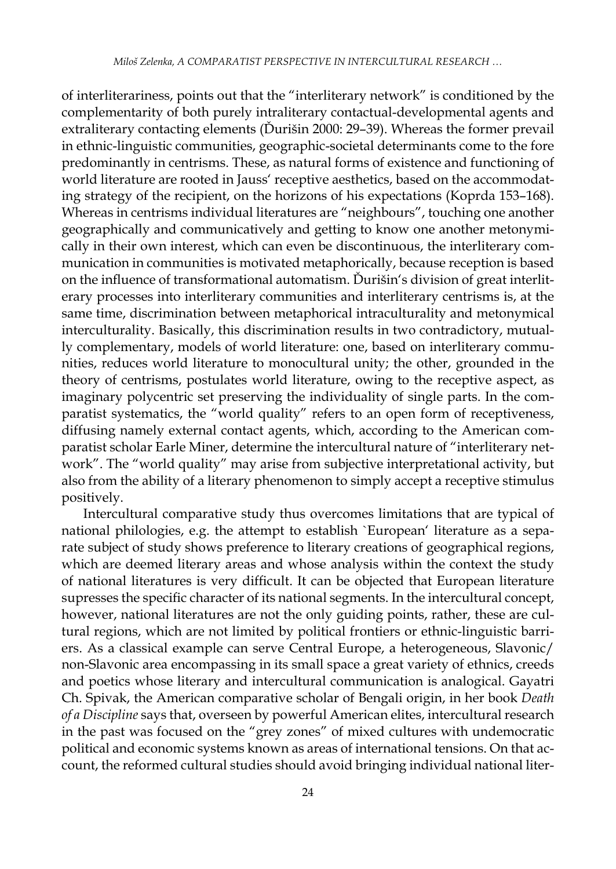of interliterariness, points out that the "interliterary network" is conditioned by the complementarity of both purely intraliterary contactual-developmental agents and extraliterary contacting elements (Ďurišin 2000: 29–39). Whereas the former prevail in ethnic-linguistic communities, geographic-societal determinants come to the fore predominantly in centrisms. These, as natural forms of existence and functioning of world literature are rooted in Jauss' receptive aesthetics, based on the accommodating strategy of the recipient, on the horizons of his expectations (Koprda 153–168). Whereas in centrisms individual literatures are "neighbours", touching one another geographically and communicatively and getting to know one another metonymically in their own interest, which can even be discontinuous, the interliterary communication in communities is motivated metaphorically, because reception is based on the influence of transformational automatism. Ďurišin's division of great interliterary processes into interliterary communities and interliterary centrisms is, at the same time, discrimination between metaphorical intraculturality and metonymical interculturality. Basically, this discrimination results in two contradictory, mutually complementary, models of world literature: one, based on interliterary communities, reduces world literature to monocultural unity; the other, grounded in the theory of centrisms, postulates world literature, owing to the receptive aspect, as imaginary polycentric set preserving the individuality of single parts. In the comparatist systematics, the "world quality" refers to an open form of receptiveness, diffusing namely external contact agents, which, according to the American comparatist scholar Earle Miner, determine the intercultural nature of "interliterary network". The "world quality" may arise from subjective interpretational activity, but also from the ability of a literary phenomenon to simply accept a receptive stimulus positively.

Intercultural comparative study thus overcomes limitations that are typical of national philologies, e.g. the attempt to establish `European' literature as a separate subject of study shows preference to literary creations of geographical regions, which are deemed literary areas and whose analysis within the context the study of national literatures is very difficult. It can be objected that European literature supresses the specific character of its national segments. In the intercultural concept, however, national literatures are not the only guiding points, rather, these are cultural regions, which are not limited by political frontiers or ethnic-linguistic barriers. As a classical example can serve Central Europe, a heterogeneous, Slavonic/ non-Slavonic area encompassing in its small space a great variety of ethnics, creeds and poetics whose literary and intercultural communication is analogical. Gayatri Ch. Spivak, the American comparative scholar of Bengali origin, in her book *Death of a Discipline* says that, overseen by powerful American elites, intercultural research in the past was focused on the "grey zones" of mixed cultures with undemocratic political and economic systems known as areas of international tensions. On that account, the reformed cultural studies should avoid bringing individual national liter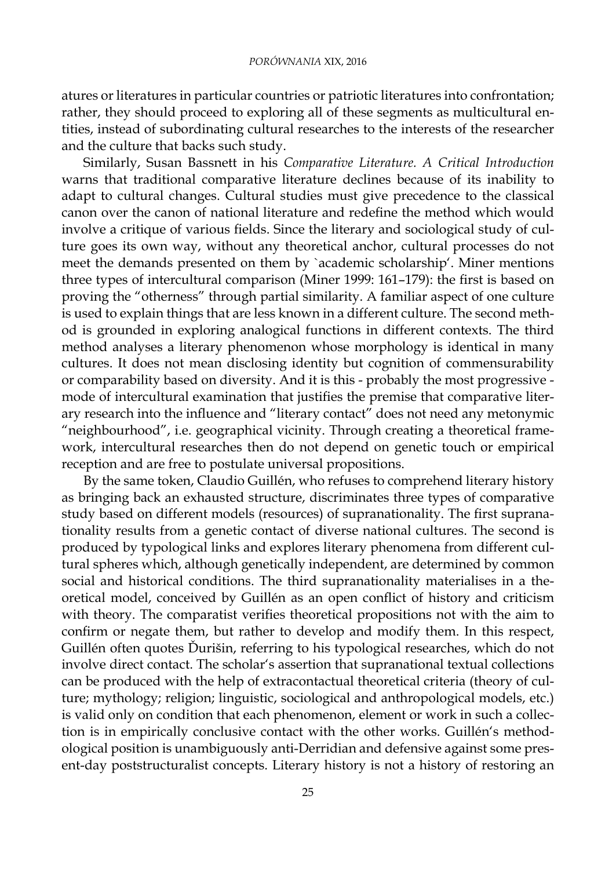atures or literatures in particular countries or patriotic literatures into confrontation; rather, they should proceed to exploring all of these segments as multicultural entities, instead of subordinating cultural researches to the interests of the researcher and the culture that backs such study.

Similarly, Susan Bassnett in his *Comparative Literature. A Critical Introduction*  warns that traditional comparative literature declines because of its inability to adapt to cultural changes. Cultural studies must give precedence to the classical canon over the canon of national literature and redefine the method which would involve a critique of various fields. Since the literary and sociological study of culture goes its own way, without any theoretical anchor, cultural processes do not meet the demands presented on them by `academic scholarship'. Miner mentions three types of intercultural comparison (Miner 1999: 161–179): the first is based on proving the "otherness" through partial similarity. A familiar aspect of one culture is used to explain things that are less known in a different culture. The second method is grounded in exploring analogical functions in different contexts. The third method analyses a literary phenomenon whose morphology is identical in many cultures. It does not mean disclosing identity but cognition of commensurability or comparability based on diversity. And it is this - probably the most progressive mode of intercultural examination that justifies the premise that comparative literary research into the influence and "literary contact" does not need any metonymic "neighbourhood", i.e. geographical vicinity. Through creating a theoretical framework, intercultural researches then do not depend on genetic touch or empirical reception and are free to postulate universal propositions.

By the same token, Claudio Guillén, who refuses to comprehend literary history as bringing back an exhausted structure, discriminates three types of comparative study based on different models (resources) of supranationality. The first supranationality results from a genetic contact of diverse national cultures. The second is produced by typological links and explores literary phenomena from different cultural spheres which, although genetically independent, are determined by common social and historical conditions. The third supranationality materialises in a theoretical model, conceived by Guillén as an open conflict of history and criticism with theory. The comparatist verifies theoretical propositions not with the aim to confirm or negate them, but rather to develop and modify them. In this respect, Guillén often quotes Ďurišin, referring to his typological researches, which do not involve direct contact. The scholar's assertion that supranational textual collections can be produced with the help of extracontactual theoretical criteria (theory of culture; mythology; religion; linguistic, sociological and anthropological models, etc.) is valid only on condition that each phenomenon, element or work in such a collection is in empirically conclusive contact with the other works. Guillén's methodological position is unambiguously anti-Derridian and defensive against some present-day poststructuralist concepts. Literary history is not a history of restoring an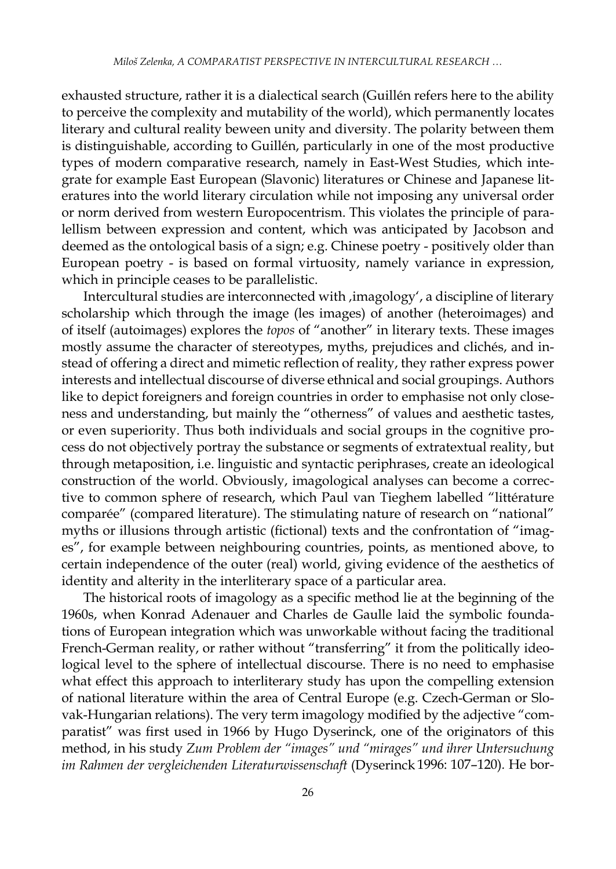exhausted structure, rather it is a dialectical search (Guillén refers here to the ability to perceive the complexity and mutability of the world), which permanently locates literary and cultural reality beween unity and diversity. The polarity between them is distinguishable, according to Guillén, particularly in one of the most productive types of modern comparative research, namely in East-West Studies, which integrate for example East European (Slavonic) literatures or Chinese and Japanese literatures into the world literary circulation while not imposing any universal order or norm derived from western Europocentrism. This violates the principle of paralellism between expression and content, which was anticipated by Jacobson and deemed as the ontological basis of a sign; e.g. Chinese poetry - positively older than European poetry - is based on formal virtuosity, namely variance in expression, which in principle ceases to be parallelistic.

Intercultural studies are interconnected with , imagology', a discipline of literary scholarship which through the image (les images) of another (heteroimages) and of itself (autoimages) explores the *topos* of "another" in literary texts. These images mostly assume the character of stereotypes, myths, prejudices and clichés, and instead of offering a direct and mimetic reflection of reality, they rather express power interests and intellectual discourse of diverse ethnical and social groupings. Authors like to depict foreigners and foreign countries in order to emphasise not only closeness and understanding, but mainly the "otherness" of values and aesthetic tastes, or even superiority. Thus both individuals and social groups in the cognitive process do not objectively portray the substance or segments of extratextual reality, but through metaposition, i.e. linguistic and syntactic periphrases, create an ideological construction of the world. Obviously, imagological analyses can become a corrective to common sphere of research, which Paul van Tieghem labelled "littérature comparée" (compared literature). The stimulating nature of research on "national" myths or illusions through artistic (fictional) texts and the confrontation of "images", for example between neighbouring countries, points, as mentioned above, to certain independence of the outer (real) world, giving evidence of the aesthetics of identity and alterity in the interliterary space of a particular area.

The historical roots of imagology as a specific method lie at the beginning of the 1960s, when Konrad Adenauer and Charles de Gaulle laid the symbolic foundations of European integration which was unworkable without facing the traditional French-German reality, or rather without "transferring" it from the politically ideological level to the sphere of intellectual discourse. There is no need to emphasise what effect this approach to interliterary study has upon the compelling extension of national literature within the area of Central Europe (e.g. Czech-German or Slovak-Hungarian relations). The very term imagology modified by the adjective "comparatist" was first used in 1966 by Hugo Dyserinck, one of the originators of this method, in his study *Zum Problem der "images" und "mirages" und ihrer Untersuchung im Rahmen der vergleichenden Literaturwissenschaft* (Dyserinck 1996: 107–120)*.* He bor-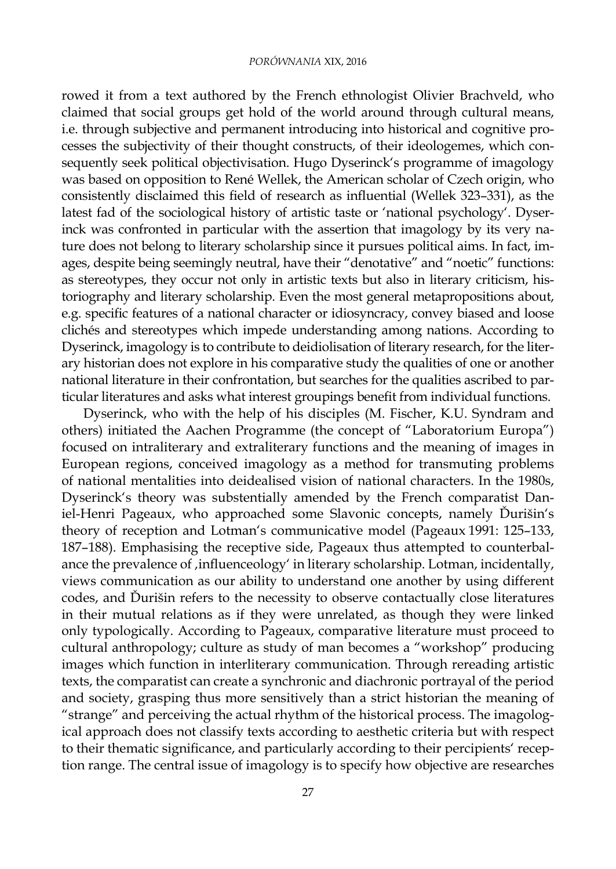## *PORÓWNANIA* XIX, 2016

rowed it from a text authored by the French ethnologist Olivier Brachveld, who claimed that social groups get hold of the world around through cultural means, i.e. through subjective and permanent introducing into historical and cognitive processes the subjectivity of their thought constructs, of their ideologemes, which consequently seek political objectivisation. Hugo Dyserinck's programme of imagology was based on opposition to René Wellek, the American scholar of Czech origin, who consistently disclaimed this field of research as influential (Wellek 323–331), as the latest fad of the sociological history of artistic taste or 'national psychology'. Dyserinck was confronted in particular with the assertion that imagology by its very nature does not belong to literary scholarship since it pursues political aims. In fact, images, despite being seemingly neutral, have their "denotative" and "noetic" functions: as stereotypes, they occur not only in artistic texts but also in literary criticism, historiography and literary scholarship. Even the most general metapropositions about, e.g. specific features of a national character or idiosyncracy, convey biased and loose clichés and stereotypes which impede understanding among nations. According to Dyserinck, imagology is to contribute to deidiolisation of literary research, for the literary historian does not explore in his comparative study the qualities of one or another national literature in their confrontation, but searches for the qualities ascribed to particular literatures and asks what interest groupings benefit from individual functions.

Dyserinck, who with the help of his disciples (M. Fischer, K.U. Syndram and others) initiated the Aachen Programme (the concept of "Laboratorium Europa") focused on intraliterary and extraliterary functions and the meaning of images in European regions, conceived imagology as a method for transmuting problems of national mentalities into deidealised vision of national characters. In the 1980s, Dyserinck's theory was substentially amended by the French comparatist Daniel-Henri Pageaux, who approached some Slavonic concepts, namely Ďurišin's theory of reception and Lotman's communicative model (Pageaux 1991: 125–133, 187–188). Emphasising the receptive side, Pageaux thus attempted to counterbalance the prevalence of , influenceology' in literary scholarship. Lotman, incidentally, views communication as our ability to understand one another by using different codes, and Ďurišin refers to the necessity to observe contactually close literatures in their mutual relations as if they were unrelated, as though they were linked only typologically. According to Pageaux, comparative literature must proceed to cultural anthropology; culture as study of man becomes a "workshop" producing images which function in interliterary communication. Through rereading artistic texts, the comparatist can create a synchronic and diachronic portrayal of the period and society, grasping thus more sensitively than a strict historian the meaning of "strange" and perceiving the actual rhythm of the historical process. The imagological approach does not classify texts according to aesthetic criteria but with respect to their thematic significance, and particularly according to their percipients' reception range. The central issue of imagology is to specify how objective are researches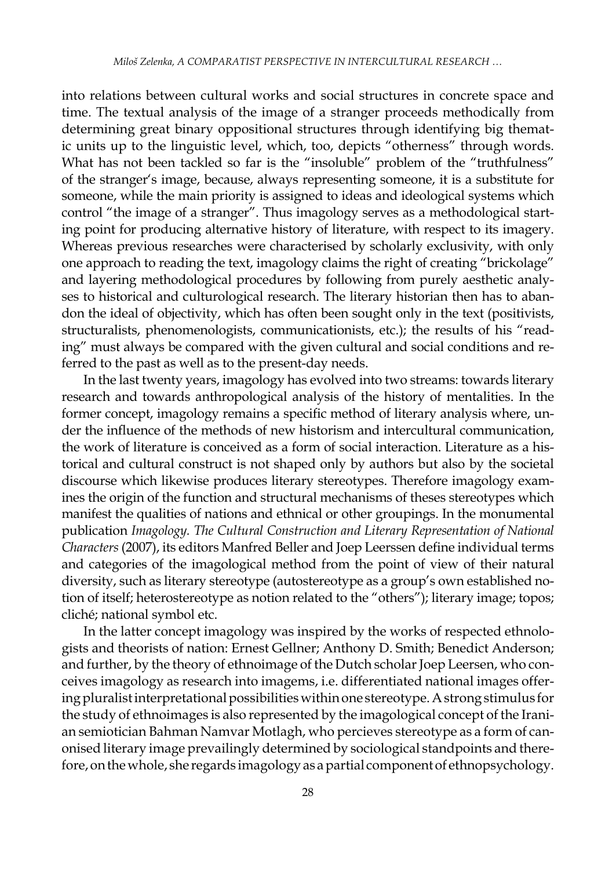into relations between cultural works and social structures in concrete space and time. The textual analysis of the image of a stranger proceeds methodically from determining great binary oppositional structures through identifying big thematic units up to the linguistic level, which, too, depicts "otherness" through words. What has not been tackled so far is the "insoluble" problem of the "truthfulness" of the stranger's image, because, always representing someone, it is a substitute for someone, while the main priority is assigned to ideas and ideological systems which control "the image of a stranger". Thus imagology serves as a methodological starting point for producing alternative history of literature, with respect to its imagery. Whereas previous researches were characterised by scholarly exclusivity, with only one approach to reading the text, imagology claims the right of creating "brickolage" and layering methodological procedures by following from purely aesthetic analyses to historical and culturological research. The literary historian then has to abandon the ideal of objectivity, which has often been sought only in the text (positivists, structuralists, phenomenologists, communicationists, etc.); the results of his "reading" must always be compared with the given cultural and social conditions and referred to the past as well as to the present-day needs.

In the last twenty years, imagology has evolved into two streams: towards literary research and towards anthropological analysis of the history of mentalities. In the former concept, imagology remains a specific method of literary analysis where, under the influence of the methods of new historism and intercultural communication, the work of literature is conceived as a form of social interaction. Literature as a historical and cultural construct is not shaped only by authors but also by the societal discourse which likewise produces literary stereotypes. Therefore imagology examines the origin of the function and structural mechanisms of theses stereotypes which manifest the qualities of nations and ethnical or other groupings. In the monumental publication *Imagology. The Cultural Construction and Literary Representation of National Characters* (2007), its editors Manfred Beller and Joep Leerssen define individual terms and categories of the imagological method from the point of view of their natural diversity, such as literary stereotype (autostereotype as a group's own established notion of itself; heterostereotype as notion related to the "others"); literary image; topos; cliché; national symbol etc.

In the latter concept imagology was inspired by the works of respected ethnologists and theorists of nation: Ernest Gellner; Anthony D. Smith; Benedict Anderson; and further, by the theory of ethnoimage of the Dutch scholar Joep Leersen, who conceives imagology as research into imagems, i.e. differentiated national images offering pluralist interpretational possibilities within one stereotype. Astrong stimulus for the study of ethnoimages is also represented by the imagological concept of the Iranian semiotician Bahman Namvar Motlagh, who percieves stereotype as a form of canonised literary image prevailingly determined by sociological standpoints and therefore, on the whole, she regards imagology as apartial component of ethnopsychology.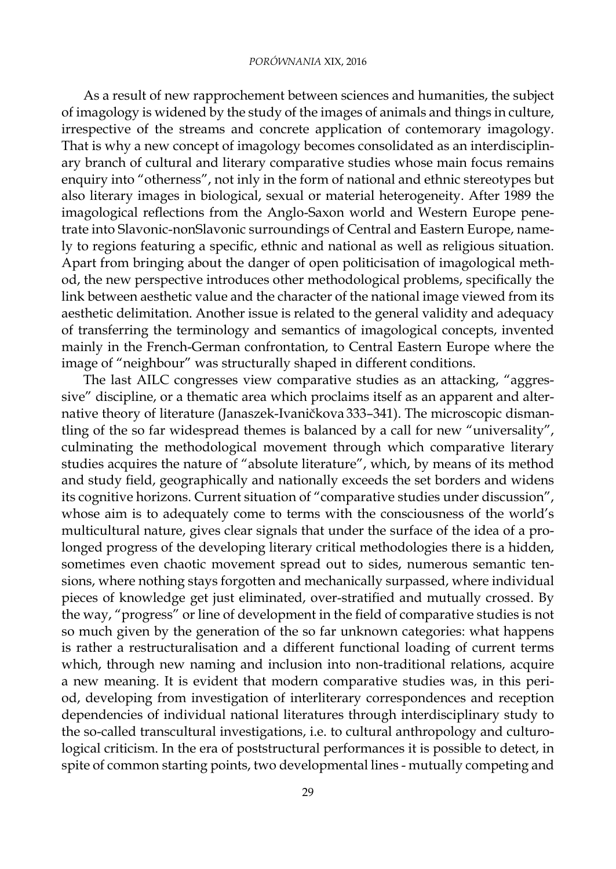#### *PORÓWNANIA* XIX, 2016

As a result of new rapprochement between sciences and humanities, the subject of imagology is widened by the study of the images of animals and things in culture, irrespective of the streams and concrete application of contemorary imagology. That is why a new concept of imagology becomes consolidated as an interdisciplinary branch of cultural and literary comparative studies whose main focus remains enquiry into "otherness", not inly in the form of national and ethnic stereotypes but also literary images in biological, sexual or material heterogeneity. After 1989 the imagological reflections from the Anglo-Saxon world and Western Europe penetrate into Slavonic-nonSlavonic surroundings of Central and Eastern Europe, namely to regions featuring a specific, ethnic and national as well as religious situation. Apart from bringing about the danger of open politicisation of imagological method, the new perspective introduces other methodological problems, specifically the link between aesthetic value and the character of the national image viewed from its aesthetic delimitation. Another issue is related to the general validity and adequacy of transferring the terminology and semantics of imagological concepts, invented mainly in the French-German confrontation, to Central Eastern Europe where the image of "neighbour" was structurally shaped in different conditions.

The last AILC congresses view comparative studies as an attacking, "aggressive" discipline, or a thematic area which proclaims itself as an apparent and alternative theory of literature (Janaszek-Ivaničkova 333–341). The microscopic dismantling of the so far widespread themes is balanced by a call for new "universality", culminating the methodological movement through which comparative literary studies acquires the nature of "absolute literature", which, by means of its method and study field, geographically and nationally exceeds the set borders and widens its cognitive horizons. Current situation of "comparative studies under discussion", whose aim is to adequately come to terms with the consciousness of the world's multicultural nature, gives clear signals that under the surface of the idea of a prolonged progress of the developing literary critical methodologies there is a hidden, sometimes even chaotic movement spread out to sides, numerous semantic tensions, where nothing stays forgotten and mechanically surpassed, where individual pieces of knowledge get just eliminated, over-stratified and mutually crossed. By the way, "progress" or line of development in the field of comparative studies is not so much given by the generation of the so far unknown categories: what happens is rather a restructuralisation and a different functional loading of current terms which, through new naming and inclusion into non-traditional relations, acquire a new meaning. It is evident that modern comparative studies was, in this period, developing from investigation of interliterary correspondences and reception dependencies of individual national literatures through interdisciplinary study to the so-called transcultural investigations, i.e. to cultural anthropology and culturological criticism. In the era of poststructural performances it is possible to detect, in spite of common starting points, two developmental lines - mutually competing and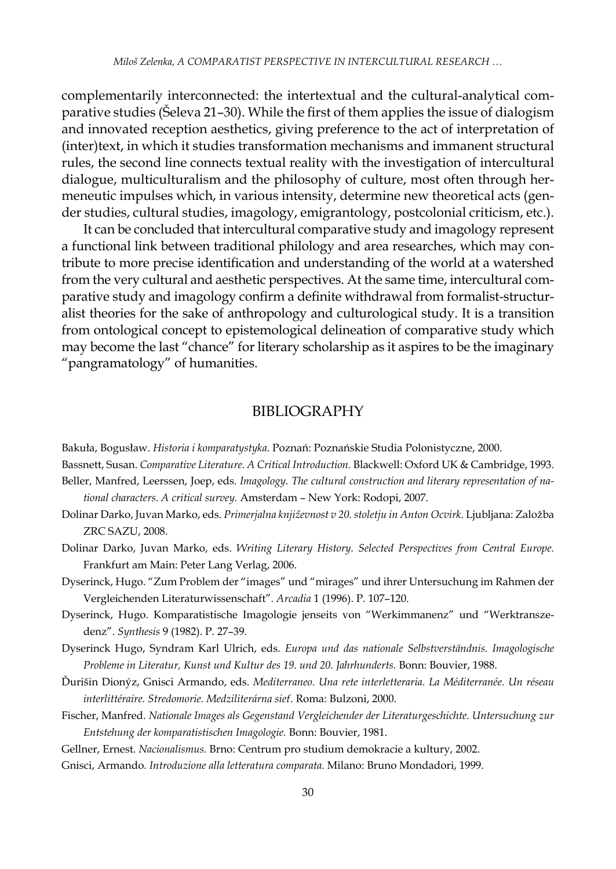complementarily interconnected: the intertextual and the cultural-analytical comparative studies (Šeleva 21–30). While the first of them applies the issue of dialogism and innovated reception aesthetics, giving preference to the act of interpretation of (inter)text, in which it studies transformation mechanisms and immanent structural rules, the second line connects textual reality with the investigation of intercultural dialogue, multiculturalism and the philosophy of culture, most often through hermeneutic impulses which, in various intensity, determine new theoretical acts (gender studies, cultural studies, imagology, emigrantology, postcolonial criticism, etc.).

It can be concluded that intercultural comparative study and imagology represent a functional link between traditional philology and area researches, which may contribute to more precise identification and understanding of the world at a watershed from the very cultural and aesthetic perspectives. At the same time, intercultural comparative study and imagology confirm a definite withdrawal from formalist-structuralist theories for the sake of anthropology and culturological study. It is a transition from ontological concept to epistemological delineation of comparative study which may become the last "chance" for literary scholarship as it aspires to be the imaginary "pangramatology" of humanities.

## BIBLIOGRAPHY

Bakuła, Bogusław. *Historia i komparatystyka*. Poznań: Poznańskie Studia Polonistyczne, 2000.

Bassnett, Susan. *Comparative Literature. A Critical Introduction.* Blackwell: Oxford UK & Cambridge, 1993.

- Beller, Manfred, Leerssen, Joep, eds. *Imagology. The cultural construction and literary representation of national characters. A critical survey.* Amsterdam – New York: Rodopi, 2007.
- Dolinar Darko, Juvan Marko, eds. *Primerjalna književnost v 20. stoletju in Anton Ocvirk.* Ljubljana: Založba ZRC SAZU, 2008.
- Dolinar Darko, Juvan Marko, eds. *Writing Literary History. Selected Perspectives from Central Europe.*  Frankfurt am Main: Peter Lang Verlag, 2006.
- Dyserinck, Hugo. "Zum Problem der "images" und "mirages" und ihrer Untersuchung im Rahmen der Vergleichenden Literaturwissenschaft"*. Arcadia* 1 (1996). P. 107–120.
- Dyserinck, Hugo. Komparatistische Imagologie jenseits von "Werkimmanenz" und "Werktranszedenz". *Synthesis* 9 (1982). P. 27–39.
- Dyserinck Hugo, Syndram Karl Ulrich, eds. *Europa und das nationale Selbstverständnis. Imagologische Probleme in Literatur, Kunst und Kultur des 19. und 20. Jahrhunderts.* Bonn: Bouvier, 1988.
- Ďurišin Dionýz, Gnisci Armando, eds. *Mediterraneo. Una rete interletteraria. La Méditerranée. Un réseau interlittéraire. Stredomorie. Medziliterárna sieť*. Roma: Bulzoni, 2000.
- Fischer, Manfred. *Nationale Images als Gegenstand Vergleichender der Literaturgeschichte. Untersuchung zur Entstehung der komparatistischen Imagologie.* Bonn: Bouvier, 1981.
- Gellner, Ernest. *Nacionalismus.* Brno: Centrum pro studium demokracie a kultury, 2002.
- Gnisci, Armando*. Introduzione alla letteratura comparata.* Milano: Bruno Mondadori, 1999.